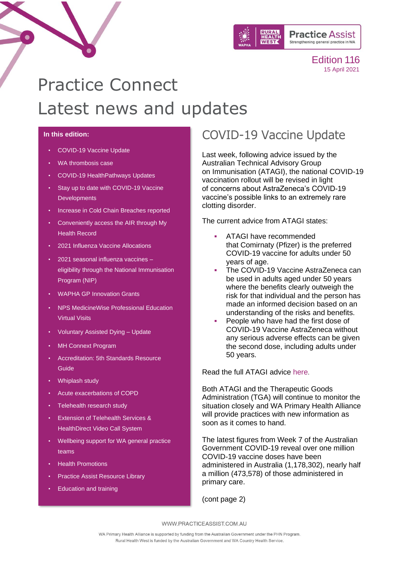

# Practice Connect Latest news and updates

#### **In this edition:**

- [COVID-19 Vaccine Update](#page-0-0)
- [WA thrombosis case](#page-1-0)
- [COVID-19 HealthPathways Updates](#page-3-0)
- <span id="page-0-1"></span>• [Stay up to date with COVID-19 Vaccine](#page-0-1)  **[Developments](#page-0-1)**
- Increase in Cold Chain Breaches reported
- Conveniently access the AIR through My Health Record
- 2021 Influenza Vaccine Allocations
- [2021 seasonal influenza vaccines –](#page-7-0) [eligibility through the National Immunisation](#page-7-0)  [Program \(NIP\)](#page-7-0)
- [WAPHA GP Innovation Grants](#page-8-0)
- [NPS MedicineWise Professional Education](#page-8-1)  [Virtual Visits](#page-8-1)
- [Voluntary Assisted Dying –](#page-9-0) Update
- [MH Connext Program](#page-9-1)
- Accreditation: 5th [Standards Resource](#page-10-0)  [Guide](#page-10-0)
- [Whiplash study](#page-10-1)
- [Acute exacerbations of COPD](#page-10-2)
- [Telehealth research study](#page-11-0)
- [Extension of Telehealth Services &](#page-11-1)  [HealthDirect Video Call System](#page-11-1)
- [Wellbeing support for WA general practice](#page-12-0)  [teams](#page-12-0)
- [Health Promotions](#page-13-0)
- [Practice Assist Resource Library](#page-14-0)
- [Education and training](#page-15-0)

# <span id="page-0-0"></span>COVID-19 Vaccine Update

Last week, following advice issued by the Australian Technical Advisory Group on Immunisation (ATAGI), the national COVID-19 vaccination rollout will be revised in light of concerns about AstraZeneca's COVID-19 vaccine's possible links to an extremely rare clotting disorder.

The current advice from ATAGI states:

- ATAGI have recommended that Comirnaty (Pfizer) is the preferred COVID-19 vaccine for adults under 50 years of age.
- The COVID-19 Vaccine AstraZeneca can be used in adults aged under 50 years where the benefits clearly outweigh the risk for that individual and the person has made an informed decision based on an understanding of the risks and benefits.
- People who have had the first dose of COVID-19 Vaccine AstraZeneca without any serious adverse effects can be given the second dose, including adults under 50 years.

Read the full ATAGI advice [here](https://www.health.gov.au/news/atagi-statement-on-astrazeneca-vaccine-in-response-to-new-vaccine-safety-concerns).

Both ATAGI and the Therapeutic Goods Administration (TGA) will continue to monitor the situation closely and WA Primary Health Alliance will provide practices with new information as soon as it comes to hand.

The latest figures from Week 7 of the Australian Government COVID-19 reveal over one million COVID-19 vaccine doses have been administered in Australia (1,178,302), nearly half a million (473,578) of those administered in primary care.

(cont page 2)

WWW.PRACTICEASSIST.COM.AU

WA Primary Health Alliance is supported by funding from the Australian Government under the PHN Program. Rural Health West is funded by the Australian Government and WA Country Health Service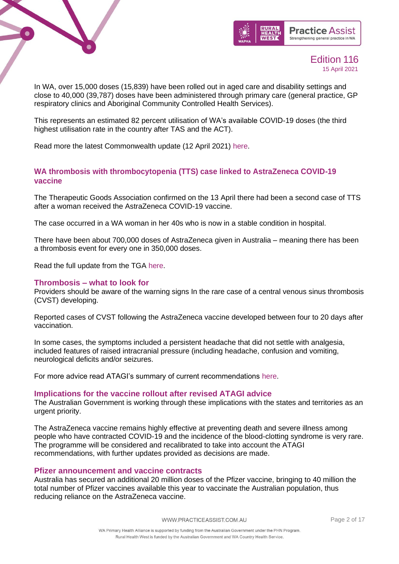



In WA, over 15,000 doses (15,839) have been rolled out in aged care and disability settings and close to 40,000 (39,787) doses have been administered through primary care (general practice, GP respiratory clinics and Aboriginal Community Controlled Health Services).

This represents an estimated 82 percent utilisation of WA's available COVID-19 doses (the third highest utilisation rate in the country after TAS and the ACT).

Read more the latest Commonwealth update (12 April 2021) [here.](https://www.health.gov.au/sites/default/files/documents/2021/04/covid-19-vaccine-rollout-update-12-april-2021_1.pdf)

### <span id="page-1-0"></span>**WA thrombosis with thrombocytopenia (TTS) case linked to AstraZeneca COVID-19 vaccine**

The Therapeutic Goods Association confirmed on the 13 April there had been a second case of TTS after a woman received the AstraZeneca COVID-19 vaccine.

The case occurred in a WA woman in her 40s who is now in a stable condition in hospital.

There have been about 700,000 doses of AstraZeneca given in Australia – meaning there has been a thrombosis event for every one in 350,000 doses.

Read the full update from the TGA [here.](https://www.tga.gov.au/alert/astrazeneca-chadox1-s-covid-19-vaccine-1)

#### **Thrombosis – what to look for**

Providers should be aware of the warning signs In the rare case of a central venous sinus thrombosis (CVST) developing.

Reported cases of CVST following the AstraZeneca vaccine developed between four to 20 days after vaccination.

In some cases, the symptoms included a persistent headache that did not settle with analgesia, included features of raised intracranial pressure (including headache, confusion and vomiting, neurological deficits and/or seizures.

For more advice read ATAGI's summary of current recommendations [here.](https://www.health.gov.au/news/atagi-statement-healthcare-providers-specific-clotting-condition-reported-after-covid-19-vaccination)

#### **Implications for the vaccine rollout after revised [ATAGI advice](https://www.pm.gov.au/sites/default/files/files/atagi-advice.pdf)**

The Australian Government is working through these implications with the states and territories as an urgent priority.

The AstraZeneca vaccine remains highly effective at preventing death and severe illness among people who have contracted COVID-19 and the incidence of the blood-clotting syndrome is very rare. The programme will be considered and recalibrated to take into account the ATAGI recommendations, with further updates provided as decisions are made.

#### **Pfizer announcement and vaccine contracts**

Australia has secured an additional 20 million doses of the Pfizer vaccine, bringing to 40 million the total number of Pfizer vaccines available this year to vaccinate the Australian population, thus reducing reliance on the AstraZeneca vaccine.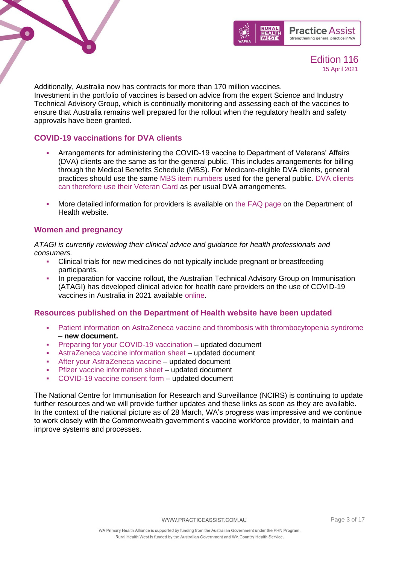



Additionally, Australia now has contracts for more than 170 million vaccines. Investment in the portfolio of vaccines is based on advice from the expert Science and Industry Technical Advisory Group, which is continually monitoring and assessing each of the vaccines to ensure that Australia remains well prepared for the rollout when the regulatory health and safety approvals have been granted.

### **COVID-19 vaccinations for DVA clients**

- Arrangements for administering the COVID-19 vaccine to Department of Veterans' Affairs (DVA) clients are the same as for the general public. This includes arrangements for billing through the Medical Benefits Schedule (MBS). For Medicare-eligible DVA clients, general practices should use the same [MBS item numbers](https://linkprotect.cudasvc.com/url?a=https%3a%2f%2fhneccphn.us11.list-manage.com%2ftrack%2fclick%3fu%3db2ee5cd7eaf045ef09a94932f%26id%3dd7421417b1%26e%3d8028a3fea9&c=E,1,tqFQW-r1hG9uW9mh6RDvRK5M--gKi1jnTYh_AdCR221YAkiRJuaYfFUt4jzMpLwFf1WKpXbqeoguDQE49dGJrC6wRuBT4H0Oxg_iAWUlrg,,&typo=1) used for the general public. [DVA clients](https://linkprotect.cudasvc.com/url?a=https%3a%2f%2fhneccphn.us11.list-manage.com%2ftrack%2fclick%3fu%3db2ee5cd7eaf045ef09a94932f%26id%3d9ff6f6a720%26e%3d8028a3fea9&c=E,1,kYxkzAgnD_6Fk9rykJJtRgxPZhf2qj7LcbC1SaN0bNpxkzUSc99EyCADjcUVnCFsRcEshL6W0Lx9T_sDSQ8aHSxWe35V4yndYataYUCmSEMvLqz2&typo=1)  [can therefore use their Veteran Card](https://linkprotect.cudasvc.com/url?a=https%3a%2f%2fhneccphn.us11.list-manage.com%2ftrack%2fclick%3fu%3db2ee5cd7eaf045ef09a94932f%26id%3d9ff6f6a720%26e%3d8028a3fea9&c=E,1,kYxkzAgnD_6Fk9rykJJtRgxPZhf2qj7LcbC1SaN0bNpxkzUSc99EyCADjcUVnCFsRcEshL6W0Lx9T_sDSQ8aHSxWe35V4yndYataYUCmSEMvLqz2&typo=1) as per usual DVA arrangements.
- More detailed information for providers is available on [the FAQ page](https://linkprotect.cudasvc.com/url?a=https%3a%2f%2fhneccphn.us11.list-manage.com%2ftrack%2fclick%3fu%3db2ee5cd7eaf045ef09a94932f%26id%3d5d463fd0dc%26e%3d8028a3fea9&c=E,1,V06Vke9b_ieZ2Al6P27TlWbxx12RToYhgJ8Oph6cjY9U5T18Jy5QAKxQGmOjJNoOVMazQt6EtBZe2GYtqC7PRvs2WGziBJ375IwWk6qiIVVVbw,,&typo=1) on the Department of Health website.

### **Women and pregnancy**

*ATAGI is currently reviewing their clinical advice and guidance for health professionals and consumers.*

- Clinical trials for new medicines do not typically include pregnant or breastfeeding participants.
- In preparation for vaccine rollout, the Australian Technical Advisory Group on Immunisation (ATAGI) has developed clinical advice for health care providers on the use of COVID-19 vaccines in Australia in 2021 available [online.](https://linkprotect.cudasvc.com/url?a=https%3a%2f%2fhneccphn.us11.list-manage.com%2ftrack%2fclick%3fu%3db2ee5cd7eaf045ef09a94932f%26id%3d635669670c%26e%3d8028a3fea9&c=E,1,PCeMjJP0yMyfBSce5cMV1aizWTMsRGch6V0OiACuac0EE7S-afTTvhs5dycM3k563ZJAjZoSdjfHbJsNQ3Jg4vjb9KVRmZV4VXBUGs_hrRo,&typo=1)

### **Resources published on the Department of Health website have been updated**

- [Patient information on AstraZeneca vaccine and thrombosis with thrombocytopenia syndrome](https://linkprotect.cudasvc.com/url?a=https%3a%2f%2fhneccphn.us11.list-manage.com%2ftrack%2fclick%3fu%3db2ee5cd7eaf045ef09a94932f%26id%3da986c62d5f%26e%3d8028a3fea9&c=E,1,ahCQZklWIIz-SDXpIxmnw353edtF_L_6OJJGKOgjJGHyCTSZyVDRsyerd48aUinBBwZJJxO9tfnHqOl7Nb-zppilxkiH0OOGs1WDLgrUdS73-GLeVYgcoHc,&typo=1) – **new document.**
- **Preparing [for your COVID-19 vaccination](https://linkprotect.cudasvc.com/url?a=https%3a%2f%2fhneccphn.us11.list-manage.com%2ftrack%2fclick%3fu%3db2ee5cd7eaf045ef09a94932f%26id%3dc466f8cfe6%26e%3d8028a3fea9&c=E,1,wsK6NUZj6JDOU35YOP_7eUrqURyedE_FKTDcsC4OsZ8Hwfu8xqIGCioY-19M0Oy86TD_w9FPZ0CYY6FvWWypoGT86mxk7DdCN8DfynttWn5-3d0aQfPvng,,&typo=1) updated document**
- [AstraZeneca vaccine information sheet](https://linkprotect.cudasvc.com/url?a=https%3a%2f%2fhneccphn.us11.list-manage.com%2ftrack%2fclick%3fu%3db2ee5cd7eaf045ef09a94932f%26id%3d3b81cfc6b7%26e%3d8028a3fea9&c=E,1,yjdsVYz6NlpdWnFvizxyrCGd9g9NooSG63s9Cv6Ax9uG1mvB855wj-IztkKP4ODMhXlfUrxxJZkbLOFHKfOlacjKjno0VXw0Hw7tzITtdaaStzrCKrzHxRCUWg,,&typo=1) updated document
- [After your AstraZeneca vaccine](https://linkprotect.cudasvc.com/url?a=https%3a%2f%2fhneccphn.us11.list-manage.com%2ftrack%2fclick%3fu%3db2ee5cd7eaf045ef09a94932f%26id%3ddbdeeb231a%26e%3d8028a3fea9&c=E,1,JwR4E-AkBXvt5o7iqadpW5j4MsVLEce7uRKnjvfPIxacdVc93M-PTvxeOWF8Zu4GD6ESxj1k0lbzM7PwymkJhcwSK-OAyvXRNNpzw360e3c,&typo=1) updated document
- [Pfizer vaccine information sheet](https://linkprotect.cudasvc.com/url?a=https%3a%2f%2fhneccphn.us11.list-manage.com%2ftrack%2fclick%3fu%3db2ee5cd7eaf045ef09a94932f%26id%3d609b5e8c54%26e%3d8028a3fea9&c=E,1,0q17fzXeKYFnSeitDI9ts0wf9Pyz5-65PiilEFNoCgIdmxVmn6D_ZPLD33l7WgisD5MUc9qT3eakbJPAX9KhT2CUdsmxmA2F7aihhGoMhw,,&typo=1) updated document
- [COVID-19 vaccine consent form](https://linkprotect.cudasvc.com/url?a=https%3a%2f%2fhneccphn.us11.list-manage.com%2ftrack%2fclick%3fu%3db2ee5cd7eaf045ef09a94932f%26id%3dcfaec9e3b5%26e%3d8028a3fea9&c=E,1,Kje7DOBpmRBGJEfuBCy-b-Dxu-s4B3R97d5eX9F7GoXcM5HIZ_T_ia_yV8S7u_ycMJWkWqlWhsjIt6WHJlX00b8ixfs_Nbhoql_UqYT6gw,,&typo=1) updated document

The National Centre for Immunisation for Research and Surveillance (NCIRS) is continuing to update further resources and we will provide further updates and these links as soon as they are available. In the context of the national picture as of 28 March, WA's progress was impressive and we continue to work closely with the Commonwealth government's vaccine workforce provider, to maintain and improve systems and processes.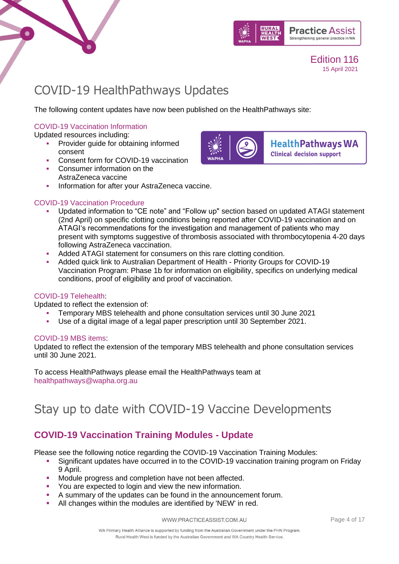



# <span id="page-3-0"></span>COVID-19 HealthPathways Updates

The following content updates have now been published on the HealthPathways site:

### [COVID-19 Vaccination Information](https://linkprotect.cudasvc.com/url?a=https%3a%2f%2fwapha.us11.list-manage.com%2ftrack%2fclick%3fu%3dc973db7b85e56f4c3d0eaacee%26id%3de9b3707c97%26e%3d02c79a9d9f&c=E,1,VmR3MXH4atjKoy6gR7adzLQS59qt118FpuobYs9MsDMePEF9W3uPHba_FXTzQ2NsvQGB3Qy3Zm7pNn-vGoP89laJQFUUNqzbFv12gGdX3LnPUA,,&typo=1)

Updated resources including:

- Provider guide for obtaining informed consent
- Consent form for COVID-19 vaccination
- **Consumer information on the** AstraZeneca vaccine
- **Information for after your AstraZeneca vaccine.**

### [COVID-19 Vaccination Procedure](https://linkprotect.cudasvc.com/url?a=https%3a%2f%2fwapha.us11.list-manage.com%2ftrack%2fclick%3fu%3dc973db7b85e56f4c3d0eaacee%26id%3da655ff3876%26e%3d02c79a9d9f&c=E,1,y6nagTwTSid3tZ6SES9x47fx1I-Ck8C4ui7bGpQDkkbcfhGiTQpypBd0aWqpmA3Dt_txCjbIg5a0oa4G3A3M7YIrQIlMmKoa2TDAbQ77XbSnvIFq49bbUxOYRA,,&typo=1)



- Added ATAGI statement for consumers on this rare clotting condition.
- Added quick link to Australian Department of Health Priority Groups for COVID-19 Vaccination Program: Phase 1b for information on eligibility, specifics on underlying medical conditions, proof of eligibility and proof of vaccination.

### [COVID-19 Telehealth:](https://linkprotect.cudasvc.com/url?a=https%3a%2f%2fwapha.us11.list-manage.com%2ftrack%2fclick%3fu%3dc973db7b85e56f4c3d0eaacee%26id%3d1614460bc6%26e%3d02c79a9d9f&c=E,1,rqfRMUKOT9d73XUEx5ejHg6Vq1faa_HMQ_xMZWbNjD8H-JG_9b1k66b9LpqTguz0tEs2-4cmxZ1tuYR7TEqKyRcnK97AiByYuRCqiRW9Vg8QiuKp6Axvxd38803f&typo=1)

Updated to reflect the extension of:

- Temporary MBS telehealth and phone consultation services until 30 June 2021
- Use of a digital image of a legal paper prescription until 30 September 2021.

### [COVID-19 MBS items:](https://linkprotect.cudasvc.com/url?a=https%3a%2f%2fwapha.us11.list-manage.com%2ftrack%2fclick%3fu%3dc973db7b85e56f4c3d0eaacee%26id%3dd65d93861e%26e%3d02c79a9d9f&c=E,1,jUkXSgjRcFCzeP14NoydEjLoQkh0dONLPr3ndr294xZRum5PpAJVM1W2otypXK2KyJeYFEGSUZQUL7nRrjo41vq8SEI3BzvWQdwPiEPtFwVsWIu9sR80&typo=1)

Updated to reflect the extension of the temporary MBS telehealth and phone consultation services until 30 June 2021.

To access HealthPathways please email the HealthPathways team at [healthpathways@wapha.org.au](mailto:healthpathways@wapha.org.au)

# Stay up to date with COVID-19 Vaccine Developments

### **COVID-19 Vaccination Training Modules - Update**

Please see the following notice regarding the COVID-19 Vaccination Training Modules:

- **E** Significant updates have occurred in to the COVID-19 vaccination training program on Friday 9 April.
- Module progress and completion have not been affected.
- You are expected to login and view the new information.
- A summary of the updates can be found in the announcement forum.
- All changes within the modules are identified by 'NEW' in red.



**HealthPathways WA Clinical decision support**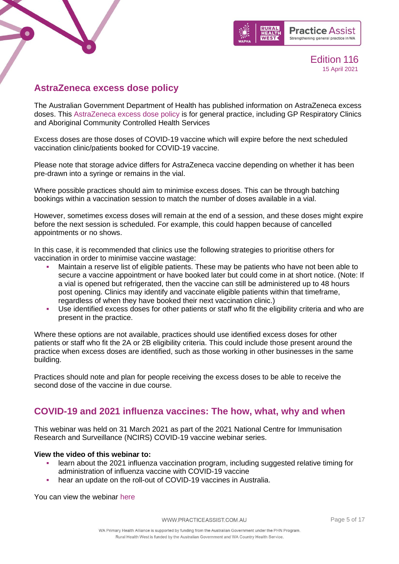



### **AstraZeneca excess dose policy**

The Australian Government Department of Health has published information on AstraZeneca excess doses. This [AstraZeneca excess dose policy](https://www.health.gov.au/initiatives-and-programs/covid-19-vaccines/information-for-covid-19-vaccination-providers/covid-19-vaccine-clinical-considerations#astrazeneca-excess-dose-policy) is for general practice, including GP Respiratory Clinics and Aboriginal Community Controlled Health Services

Excess doses are those doses of COVID-19 vaccine which will expire before the next scheduled vaccination clinic/patients booked for COVID-19 vaccine.

Please note that storage advice differs for AstraZeneca vaccine depending on whether it has been pre-drawn into a syringe or remains in the vial.

Where possible practices should aim to minimise excess doses. This can be through batching bookings within a vaccination session to match the number of doses available in a vial.

However, sometimes excess doses will remain at the end of a session, and these doses might expire before the next session is scheduled. For example, this could happen because of cancelled appointments or no shows.

In this case, it is recommended that clinics use the following strategies to prioritise others for vaccination in order to minimise vaccine wastage:

- Maintain a reserve list of eligible patients. These may be patients who have not been able to secure a vaccine appointment or have booked later but could come in at short notice. (Note: If a vial is opened but refrigerated, then the vaccine can still be administered up to 48 hours post opening. Clinics may identify and vaccinate eligible patients within that timeframe, regardless of when they have booked their next vaccination clinic.)
- Use identified excess doses for other patients or staff who fit the eligibility criteria and who are present in the practice.

Where these options are not available, practices should use identified excess doses for other patients or staff who fit the 2A or 2B eligibility criteria. This could include those present around the practice when excess doses are identified, such as those working in other businesses in the same building.

Practices should note and plan for people receiving the excess doses to be able to receive the second dose of the vaccine in due course.

### **COVID-19 and 2021 influenza vaccines: The how, what, why and when**

This webinar was held on 31 March 2021 as part of the 2021 National Centre for Immunisation Research and Surveillance (NCIRS) COVID-19 vaccine webinar series.

### **View the video of this webinar to:**

- learn about the 2021 influenza vaccination program, including suggested relative timing for administration of influenza vaccine with COVID-19 vaccine
- hear an update on the roll-out of COVID-19 vaccines in Australia.

You can view the webinar [here](https://www.ncirs.org.au/ncirs-seminarwebinar-series/31032021-covid-19-and-2021-influenza-vaccines-how-what-why-and-when?utm_medium=email&utm_campaign=Webinar%20video%20available%20-%20COVID-19%20and%202021%20influenza%20vaccines%20The%20how%20what%20why%20and%20when&utm_content=Webinar%20video%20available%20-%20COVID-19%20and%202021%20influenza%20vaccines%20The%20how%20what%20why%20and%20when+CID_f8dac9224b1f1650f32e927610fce2da&utm_source=eDM&utm_term=Watch%20now)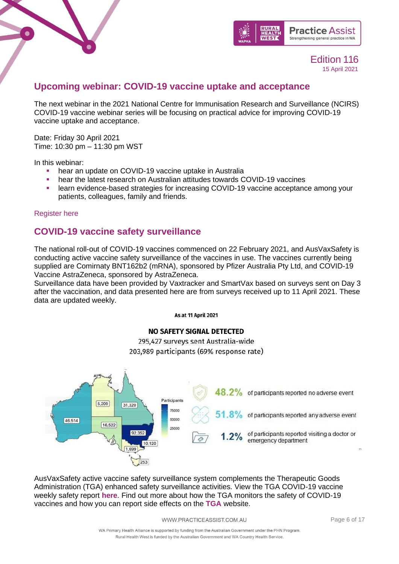



### **Upcoming webinar: COVID-19 vaccine uptake and acceptance**

The next webinar in the 2021 National Centre for Immunisation Research and Surveillance (NCIRS) COVID-19 vaccine webinar series will be focusing on practical advice for improving COVID-19 vaccine uptake and acceptance.

Date: Friday 30 April 2021 Time: 10:30 pm – 11:30 pm WST

In this webinar:

- hear an update on COVID-19 vaccine uptake in Australia
- hear the latest research on Australian attitudes towards COVID-19 vaccines
- learn evidence-based strategies for increasing COVID-19 vaccine acceptance among your patients, colleagues, family and friends.

### [Register here](https://us02web.zoom.us/webinar/register/WN_dAxq0oHjQImamxq_f1zs5g)

### **COVID-19 vaccine safety surveillance**

The national roll-out of COVID-19 vaccines commenced on 22 February 2021, and AusVaxSafety is conducting active vaccine safety surveillance of the vaccines in use. The vaccines currently being supplied are Comirnaty BNT162b2 (mRNA), sponsored by Pfizer Australia Pty Ltd, and COVID-19 Vaccine AstraZeneca, sponsored by AstraZeneca.

Surveillance data have been provided by Vaxtracker and SmartVax based on surveys sent on Day 3 after the vaccination, and data presented here are from surveys received up to 11 April 2021. These data are updated weekly.

**As at 11 April 2021** 

### **NO SAFETY SIGNAL DETECTED**

295,427 surveys sent Australia-wide 203,989 participants (69% response rate)



AusVaxSafety active vaccine safety surveillance system complements the Therapeutic Goods Administration (TGA) enhanced safety surveillance activities. View the TGA COVID-19 vaccine weekly safety report **[here](https://www.tga.gov.au/periodic/covid-19-vaccine-weekly-safety-report-10-03-2021)**. Find out more about how the TGA monitors the safety of COVID-19 vaccines and how you can report side effects on the **[TGA](https://www.tga.gov.au/covid-19-vaccine-safety-monitoring-and-reporting)** website.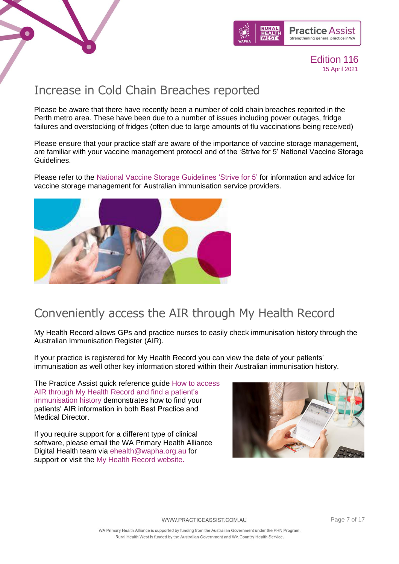



### Increase in Cold Chain Breaches reported

Please be aware that there have recently been a number of cold chain breaches reported in the Perth metro area. These have been due to a number of issues including power outages, fridge failures and overstocking of fridges (often due to large amounts of flu vaccinations being received)

Please ensure that your practice staff are aware of the importance of vaccine storage management, are familiar with your vaccine management protocol and of the 'Strive for 5' National Vaccine Storage Guidelines.

Please refer to the [National Vaccine Storage Guidelines 'Strive for 5'](https://www.health.gov.au/resources/publications/national-vaccine-storage-guidelines-strive-for-5) for information and advice for vaccine storage management for Australian immunisation service providers.



### Conveniently access the AIR through My Health Record

My Health Record allows GPs and practice nurses to easily check immunisation history through the Australian Immunisation Register (AIR).

If your practice is registered for My Health Record you can view the date of your patients' immunisation as well other key information stored within their Australian immunisation history.

The Practice Assist quick reference guide [How to access](https://www.practiceassist.com.au/PracticeAssist/media/ResourceLibrary/Digital%20Health/Accessing-AIR-through-MHR-Fact-Sheet-V2-210413.pdf)  [AIR through My Health Record and find a patient's](https://www.practiceassist.com.au/PracticeAssist/media/ResourceLibrary/Digital%20Health/Accessing-AIR-through-MHR-Fact-Sheet-V2-210413.pdf)  [immunisation history](https://www.practiceassist.com.au/PracticeAssist/media/ResourceLibrary/Digital%20Health/Accessing-AIR-through-MHR-Fact-Sheet-V2-210413.pdf) demonstrates how to find your patients' AIR information in both Best Practice and Medical Director.

If you require support for a different type of clinical software, please email the WA Primary Health Alliance Digital Health team via [ehealth@wapha.org.au](mailto:ehealth@wapha.org.au) for support or visit the [My Health Record website.](https://www.myhealthrecord.gov.au/for-healthcare-professionals/general-practice)

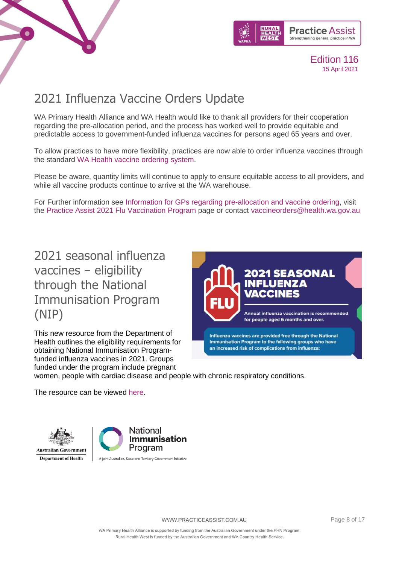



# 2021 Influenza Vaccine Orders Update

WA Primary Health Alliance and WA Health would like to thank all providers for their cooperation regarding the pre-allocation period, and the process has worked well to provide equitable and predictable access to government-funded influenza vaccines for persons aged 65 years and over.

To allow practices to have more flexibility, practices are now able to order influenza vaccines through the standard [WA Health vaccine ordering system.](https://wa.tollhealthcare.com/)

Please be aware, quantity limits will continue to apply to ensure equitable access to all providers, and while all vaccine products continue to arrive at the WA warehouse.

For Further information see [Information for GPs regarding pre-allocation and vaccine ordering,](https://www.practiceassist.com.au/PracticeAssist/media/ResourceLibrary/20210412-Info-to-GPs-re-flu-vaccine.pdf) visit the [Practice Assist 2021 Flu Vaccination Program](https://www.practiceassist.com.au/Coronavirus-COVID19/2021-Flu-Vaccination-Program) page or contact [vaccineorders@health.wa.gov.au](mailto:vaccineorders@health.wa.gov.au)

<span id="page-7-0"></span>2021 seasonal influenza vaccines – eligibility through the National Immunisation Program (NIP)

This new resource from the Department of Health outlines the eligibility requirements for obtaining National Immunisation Programfunded influenza vaccines in 2021. Groups funded under the program include pregnant



women, people with cardiac disease and people with chronic respiratory conditions.

The resource can be viewed [here.](https://www.health.gov.au/resources/publications/2021-seasonal-influenza-vaccines-eligibility-through-the-national-immunisation-program)





ralian, State and Territory Government Initiative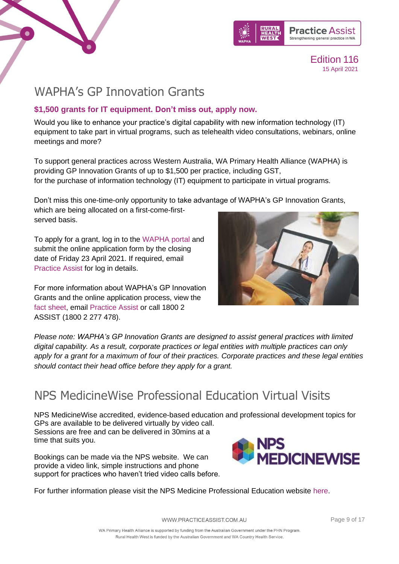



### <span id="page-8-0"></span>WAPHA's GP Innovation Grants

### **\$1,500 grants for IT equipment. Don't miss out, apply now.**

Would you like to enhance your practice's digital capability with new information technology (IT) equipment to take part in virtual programs, such as telehealth video consultations, webinars, online meetings and more?

To support general practices across Western Australia, WA Primary Health Alliance (WAPHA) is providing GP Innovation Grants of up to \$1,500 per practice, including GST, for the purchase of information technology (IT) equipment to participate in virtual programs.

Don't miss this one-time-only opportunity to take advantage of WAPHA's GP Innovation Grants, which are being allocated on a first-come-firstserved basis.

To apply for a grant, log in to the [WAPHA portal](https://portal.wapha.org.au/SignIn?ReturnUrl=%2F) and submit the online application form by the closing date of Friday 23 April 2021. If required, email [Practice Assist](mailto:practiceassist@wapha.org.au) for log in details.

For more information about WAPHA's GP Innovation Grants and the online application process, view the [fact sheet,](https://www.practiceassist.com.au/PracticeAssist/media/Practice-Connect/210331_Fact-Sheet_GP-Innovation-Grants_Final.pdf) email [Practice Assist](mailto:practiceassist@wapha.org.au) or call 1800 2 ASSIST (1800 2 277 478).



*Please note: WAPHA's GP Innovation Grants are designed to assist general practices with limited digital capability. As a result, corporate practices or legal entities with multiple practices can only apply for a grant for a maximum of four of their practices. Corporate practices and these legal entities should contact their head office before they apply for a grant.*

# <span id="page-8-1"></span>NPS MedicineWise Professional Education Virtual Visits

NPS MedicineWise accredited, evidence-based education and professional development topics for GPs are available to be delivered virtually by video call. Sessions are free and can be delivered in 30mins at a time that suits you.

Bookings can be made via the NPS website. We can provide a video link, simple instructions and phone support for practices who haven't tried video calls before.



For further information please visit the NPS Medicine Professional Education website [here.](https://www.nps.org.au/cpd)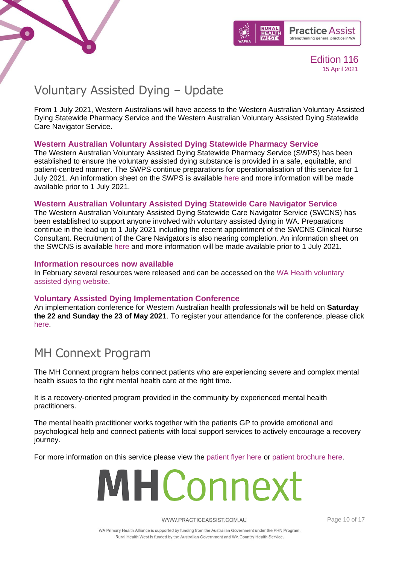



# <span id="page-9-0"></span>Voluntary Assisted Dying – Update

From 1 July 2021, Western Australians will have access to the Western Australian Voluntary Assisted Dying Statewide Pharmacy Service and the Western Australian Voluntary Assisted Dying Statewide Care Navigator Service.

### **Western Australian Voluntary Assisted Dying Statewide Pharmacy Service**

The Western Australian Voluntary Assisted Dying Statewide Pharmacy Service (SWPS) has been established to ensure the voluntary assisted dying substance is provided in a safe, equitable, and patient-centred manner. The SWPS continue preparations for operationalisation of this service for 1 July 2021. An information sheet on the SWPS is available [here](https://linkprotect.cudasvc.com/url?a=https%3a%2f%2fhealth.us14.list-manage.com%2ftrack%2fclick%3fu%3d8ec8704499f9955107930f649%26id%3d94e6703794%26e%3d3dc506253a&c=E,1,hALFGn_z3wxzT-0nv6UhWB_M-o5UwqdwuULunpsqKKkiWjDOU30xTvRSBHN1n0LgBCmMV_sJJGll81YQbpjXAh0q8dx5tfKZ0JtOL480qQ,,&typo=1) and more information will be made available prior to 1 July 2021.

### **Western Australian Voluntary Assisted Dying Statewide Care Navigator Service**

The Western Australian Voluntary Assisted Dying Statewide Care Navigator Service (SWCNS) has been established to support anyone involved with voluntary assisted dying in WA. Preparations continue in the lead up to 1 July 2021 including the recent appointment of the SWCNS Clinical Nurse Consultant. Recruitment of the Care Navigators is also nearing completion. An information sheet on the SWCNS is available [here](https://linkprotect.cudasvc.com/url?a=https%3a%2f%2fhealth.us14.list-manage.com%2ftrack%2fclick%3fu%3d8ec8704499f9955107930f649%26id%3d6f4a28b266%26e%3d3dc506253a&c=E,1,nvT0hicQsgrvAZ474xdUInViGfJpMhiGwE0PDjQehj01TNmN7ZltnuluSlzRXlx2t_v1gVm-30ZHpC1GEqb5zGUw31rYVtmXSMHIEA-twOS3sgym5kdW&typo=1) and more information will be made available prior to 1 July 2021.

### **Information resources now available**

In February several resources were released and can be accessed on the [WA Health voluntary](https://linkprotect.cudasvc.com/url?a=https%3a%2f%2fhealth.us14.list-manage.com%2ftrack%2fclick%3fu%3d8ec8704499f9955107930f649%26id%3d78661a7d31%26e%3d3dc506253a&c=E,1,8Iq7nXfeX_LJhEDwuCUEalE6e5omq3ZhyWrU6k6hAFYr9OPvaj4oeVAq1DraY-Nu5w-j42qZ9vPxME1wj6_dqQ_6pv3NLQCgvPKMerr-AA,,&typo=1)  [assisted dying website.](https://linkprotect.cudasvc.com/url?a=https%3a%2f%2fhealth.us14.list-manage.com%2ftrack%2fclick%3fu%3d8ec8704499f9955107930f649%26id%3d78661a7d31%26e%3d3dc506253a&c=E,1,8Iq7nXfeX_LJhEDwuCUEalE6e5omq3ZhyWrU6k6hAFYr9OPvaj4oeVAq1DraY-Nu5w-j42qZ9vPxME1wj6_dqQ_6pv3NLQCgvPKMerr-AA,,&typo=1)

### **Voluntary Assisted Dying Implementation Conference**

An implementation conference for Western Australian health professionals will be held on **Saturday the 22 and Sunday the 23 of May 2021**. To register your attendance for the conference, please click [here.](Eventbrite%20–%20Voluntary%20Assisted%20Dying%20Implementation%20Conference%202021)

### <span id="page-9-1"></span>MH Connext Program

The MH Connext program helps connect patients who are experiencing severe and complex mental health issues to the right mental health care at the right time.

It is a recovery-oriented program provided in the community by experienced mental health practitioners.

The mental health practitioner works together with the patients GP to provide emotional and psychological help and connect patients with local support services to actively encourage a recovery journey.

For more information on this service please view the [patient flyer here](https://www.practiceassist.com.au/PracticeAssist/media/Practice-Connect/MH-Connext_A4-web_210216.pdf) or [patient brochure here.](https://www.practiceassist.com.au/PracticeAssist/media/Practice-Connect/4353-Brochure-DL_MH-Connext_210208.pdf)



Page 10 of 17

WA Primary Health Alliance is supported by funding from the Australian Government under the PHN Program. Rural Health West is funded by the Australian Government and WA Country Health Service.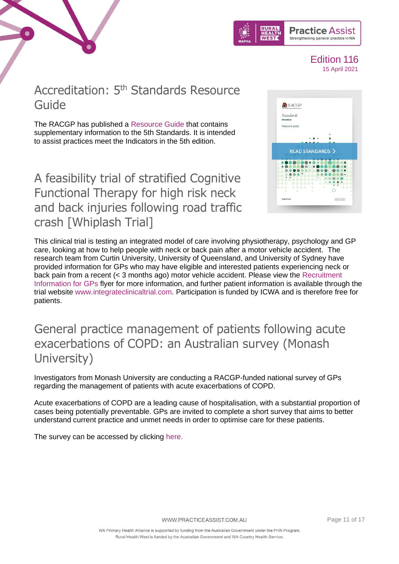



### <span id="page-10-0"></span>Accreditation: 5<sup>th</sup> Standards Resource Guide

The RACGP has published a [Resource Guide](https://www.racgp.org.au/running-a-practice/practice-standards/standards-5th-edition/resource-guide) that contains supplementary information to the 5th Standards. It is intended to assist practices meet the Indicators in the 5th edition.

<span id="page-10-1"></span>A feasibility trial of stratified Cognitive Functional Therapy for high risk neck and back injuries following road traffic crash [Whiplash Trial]



This clinical trial is testing an integrated model of care involving physiotherapy, psychology and GP care, looking at how to help people with neck or back pain after a motor vehicle accident. The research team from Curtin University, University of Queensland, and University of Sydney have provided information for GPs who may have eligible and interested patients experiencing neck or back pain from a recent (< 3 months ago) motor vehicle accident. Please view the [Recruitment](https://www.practiceassist.com.au/PracticeAssist/media/Practice-Connect/INTEGRATE-Recruitment-information-GP.pdf)  [Information for GPs](https://www.practiceassist.com.au/PracticeAssist/media/Practice-Connect/INTEGRATE-Recruitment-information-GP.pdf) flyer for more information, and further patient information is available through the trial website [www.integrateclinicaltrial.com.](http://www.integrateclinicaltrial.com/) Participation is funded by ICWA and is therefore free for patients.

### <span id="page-10-2"></span>General practice management of patients following acute exacerbations of COPD: an Australian survey (Monash University)

Investigators from Monash University are conducting a RACGP-funded national survey of GPs regarding the management of patients with acute exacerbations of COPD.

Acute exacerbations of COPD are a leading cause of hospitalisation, with a substantial proportion of cases being potentially preventable. GPs are invited to complete a short survey that aims to better understand current practice and unmet needs in order to optimise care for these patients.

The survey can be accessed by clicking [here.](https://monash.az1.qualtrics.com/jfe/form/SV_9YShQa4MHmHj5UV)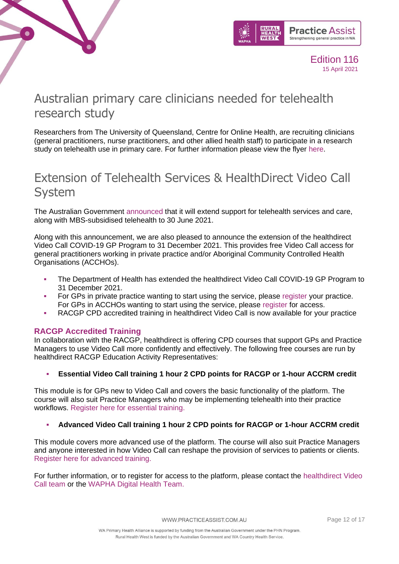



### <span id="page-11-0"></span>Australian primary care clinicians needed for telehealth research study

Researchers from The University of Queensland, Centre for Online Health, are recruiting clinicians (general practitioners, nurse practitioners, and other allied health staff) to participate in a research study on telehealth use in primary care. For further information please view the flyer [here.](https://www.practiceassist.com.au/PracticeAssist/media/Practice-Connect/Flyer_TH_primarycare.pdf)

# <span id="page-11-1"></span>Extension of Telehealth Services & HealthDirect Video Call System

The Australian Government [announced](https://linkprotect.cudasvc.com/url?a=https%3a%2f%2faapm.memnet.com.au%2fmemberselfservice%2fDistributionTracking%2fTrackLinks.aspx%3fhref%3dhttps%25253A%25252F%25252Fwww.pm.gov.au%25252Fmedia%25252Fover-11-billion-extend-australias-covid-19-health-response%26record%3d92ca1b6b-f2c3-434c-9eb4-5fae4ec922e6&c=E,1,eLlQ4Xp5NFfojDh4NRu2Ren8DYcFoRs2snhvJhqio2SApsSYfyBTRpGNioaZugTZIxZduWqe35T2P18YiPw_enF6MIN2m-ORA82cvUqYk2roM1p2&typo=1) that it will extend support for telehealth services and care, along with MBS-subsidised telehealth to 30 June 2021.

Along with this announcement, we are also pleased to announce the extension of the healthdirect Video Call COVID-19 GP Program to 31 December 2021. This provides free Video Call access for general practitioners working in private practice and/or Aboriginal Community Controlled Health Organisations (ACCHOs).

- The Department of Health has extended the healthdirect Video Call COVID-19 GP Program to 31 December 2021.
- For GPs in private practice wanting to start using the service, please [register](https://linkprotect.cudasvc.com/url?a=https%3a%2f%2f1e5b42389d4f4be3b580d064cded8778.svc.dynamics.com%2ft%2ft%2fiSilONjF6I5ig4PAmKuZUmBRnEDQO5Lx2NAoZb8xFYsx%2fYmaTRSdpjcIb7K63BklFovz82K1b2KS49voKJRVyesUx%3ftargetUrl%3dhttps%253A%252F%252F1e5b42389d4f4be3b580d064cded8778.svc.dynamics.com%252Ft%252Ft%252FTlP5qmlwxUEMQhcjwmze1qtxEmdi0WHgqXYcI3eaEeQx%252FUVEdJLXbqg2xiKUU1UldSZ393qJoO0uW9YOrajd5JHQx&c=E,1,VOVZH1rux70q2q1_BA6UvjSU4O0SlpvV9_HnL881tvuZatNGLVghN74O7dFpnResAKtgZkNvD5KzHTyaozHl-lWEEoBQ43zVqW1NNpZ6PLS8&typo=1) your practice. For GPs in ACCHOs wanting to start using the service, please [register](https://linkprotect.cudasvc.com/url?a=https%3a%2f%2f1e5b42389d4f4be3b580d064cded8778.svc.dynamics.com%2ft%2ft%2fypDWl92OF0oTrxedz8x6Zba0PJ2I3khJPQgfrG7J4ygx%2fYmaTRSdpjcIb7K63BklFovz82K1b2KS49voKJRVyesUx%3ftargetUrl%3dhttps%253A%252F%252F1e5b42389d4f4be3b580d064cded8778.svc.dynamics.com%252Ft%252Ft%252FyadBbYjEayh8EJ4fcQifiArHOw8NNyhYcXkbhifmKscx%252FUVEdJLXbqg2xiKUU1UldSZ393qJoO0uW9YOrajd5JHQx&c=E,1,dX-oQ2Um1miCnokdJjBWCBdM2QZ9wCqBSHjP1SI86JtDcYQ9s83HBB7cTDtU-r_gWGZqwtLUDdHnLyfF161PKdeACDM5qOxYfGJ0COBjCJBfma7JbqhnnQ,,&typo=1) for access.
- **RACGP CPD accredited training in healthdirect Video Call is now available for your practice**

### **RACGP Accredited Training**

In collaboration with the RACGP, healthdirect is offering CPD courses that support GPs and Practice Managers to use Video Call more confidently and effectively. The following free courses are run by healthdirect RACGP Education Activity Representatives:

### **Essential Video Call training 1 hour 2 CPD points for RACGP or 1-hour ACCRM credit**

This module is for GPs new to Video Call and covers the basic functionality of the platform. The course will also suit Practice Managers who may be implementing telehealth into their practice workflows. [Register here for essential training.](https://linkprotect.cudasvc.com/url?a=https%3a%2f%2f1e5b42389d4f4be3b580d064cded8778.svc.dynamics.com%2ft%2ft%2fymagguNlZqwevG4veJRYfcM6m8J8vYtXVaqlxhjRar8x%2fYmaTRSdpjcIb7K63BklFovz82K1b2KS49voKJRVyesUx%3ftargetUrl%3dhttps%253A%252F%252Fregister.gotowebinar.com%252Frt%252F8706971420614221070&c=E,1,XDryc-1116slpoFe5ZFGDp757emvra0v-RVNA9MqZXb4JuZ2qcc6us4uUx5PdgcdBNcBcsFa2YTI6PnVsF8q7IsfNTxNukHWmDVObTxLC8xHVOKdfA,,&typo=1)

### Advanced Video Call training 1 hour 2 CPD points for RACGP or 1-hour ACCRM credit

This module covers more advanced use of the platform. The course will also suit Practice Managers and anyone interested in how Video Call can reshape the provision of services to patients or clients. [Register here for advanced training.](https://linkprotect.cudasvc.com/url?a=https%3a%2f%2f1e5b42389d4f4be3b580d064cded8778.svc.dynamics.com%2ft%2ft%2fMnR6brwhLO9MJ7oB4oIUg3d0U5ImC0eqZ0j8cvfvjhox%2fYmaTRSdpjcIb7K63BklFovz82K1b2KS49voKJRVyesUx%3ftargetUrl%3dhttps%253A%252F%252Fattendee.gotowebinar.com%252Frt%252F7734492968113162000&c=E,1,5enbaCZgN2UKmhIHSZeizk2KM3Zj-SBwsqTKy-0Ewioex5Y86QdvC8TNLbTk6cblIS-yCiSPewLAKKHZWQX2MDwckMBv6FOM-85oMXK_&typo=1)

For further information, or to register for access to the platform, please contact the [healthdirect Video](mailto:videocall@healthdirect.org.au)  [Call team](mailto:videocall@healthdirect.org.au) or the [WAPHA Digital Health Team.](mailto:ehealth@wapha.org.au?subject=VideoCall)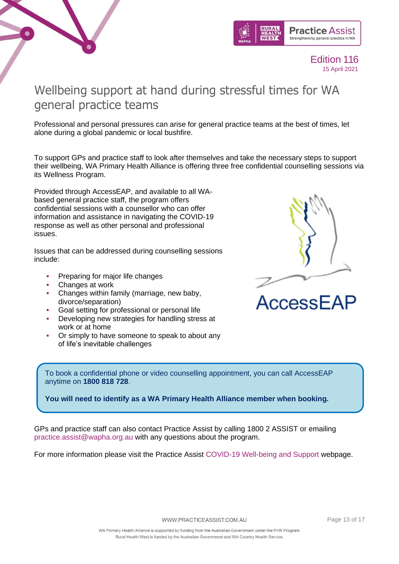



# <span id="page-12-0"></span>Wellbeing support at hand during stressful times for WA general practice teams

Professional and personal pressures can arise for general practice teams at the best of times, let alone during a global pandemic or local bushfire.

To support GPs and practice staff to look after themselves and take the necessary steps to support their wellbeing, WA Primary Health Alliance is offering three free confidential counselling sessions via its Wellness Program.

Provided through AccessEAP, and available to all WAbased general practice staff, the program offers confidential sessions with a counsellor who can offer information and assistance in navigating the COVID-19 response as well as other personal and professional issues.

Issues that can be addressed during counselling sessions include:

- **Preparing for major life changes**
- Changes at work
- Changes within family (marriage, new baby, divorce/separation)
- Goal setting for professional or personal life
- Developing new strategies for handling stress at work or at home
- Or simply to have someone to speak to about any of life's inevitable challenges



To book a confidential phone or video counselling appointment, you can call AccessEAP anytime on **1800 818 728**.

**You will need to identify as a WA Primary Health Alliance member when booking.**

GPs and practice staff can also contact Practice Assist by calling 1800 2 ASSIST or emailing [practice.assist@wapha.org.au](mailto:practice.assist@wapha.org.au) with any questions about the program.

For more information please visit the Practice Assist [COVID-19 Well-being and Support](https://www.practiceassist.com.au/Coronavirus-COVID19/Well-being-and-Support) webpage.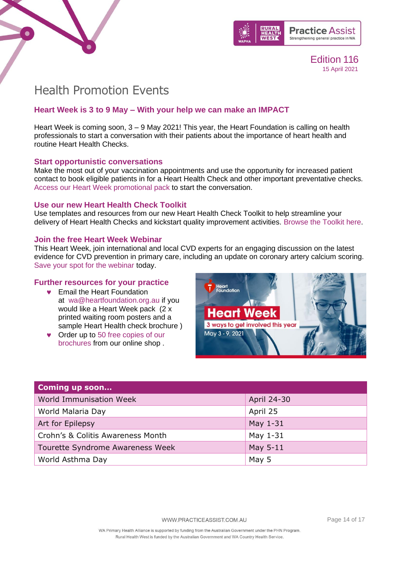



### <span id="page-13-0"></span>Health Promotion Events

### **Heart Week is 3 to 9 May – With your help we can make an IMPACT**

Heart Week is coming soon,  $3 - 9$  May 2021! This year, the Heart Foundation is calling on health professionals to start a conversation with their patients about the importance of heart health and routine Heart Health Checks.

### **Start opportunistic conversations**

Make the most out of your vaccination appointments and use the opportunity for increased patient contact to book eligible patients in for a Heart Health Check and other important preventative checks. [Access our Heart Week promotional pack](https://linkprotect.cudasvc.com/url?a=https%3a%2f%2fclick.e.heartfoundation.org.au%2f%3fqs%3dfec8946e3b3ec367feb0e60355afd9cfa97a83fe917af4fa1476d7dc1631dc794a14149c458f8c3f789ce5e542cfbba9e9042207f216bf61&c=E,1,9I3Zl1cQMctKa6-M7b5ybqQBK4mv3aqib0228VV3FUY3chAKvczRzs9y7YbUhKew_0nL27SCs5EZ10L3j5GYhT3BsApUi4V-Gf_weiu-Nqbu9ZM3EaZNY_g,&typo=1) to start the conversation.

### **Use our new Heart Health Check Toolkit**

Use templates and resources from our new Heart Health Check Toolkit to help streamline your delivery of Heart Health Checks and kickstart quality improvement activities. [Browse the Toolkit here.](https://linkprotect.cudasvc.com/url?a=https%3a%2f%2fclick.e.heartfoundation.org.au%2f%3fqs%3dfec8946e3b3ec367efa8fe2ae27384419fe367abb238231dcc23e41b8c8e3c2745ed3cab7ba845327863940c047130d3b9bf27ced9107767&c=E,1,M3cYWphMLXDwKcCsBcGPki22ZYUqQ-MgkNZtzqQ5O14lgJ4d9887yniKFzQVK3bWyfa3_QXipLUZnBehBLjD9gR6cSDD6NChgVCluMw3wLdmjg,,&typo=1)

### **Join the free Heart Week Webinar**

This Heart Week, join international and local CVD experts for an engaging discussion on the latest evidence for CVD prevention in primary care, including an update on coronary artery calcium scoring. [Save your spot for the webinar](https://linkprotect.cudasvc.com/url?a=https%3a%2f%2fclick.e.heartfoundation.org.au%2f%3fqs%3dfec8946e3b3ec36790e1c82d1fc4436b2af134d247f3781236d6c5349973c0bd2248097ff119493d9e038dc48cc5cbd0a31e937ba92ac0d5&c=E,1,Ly9lhJXh7uMM2FHgyGfBZXdlnxFWsNF-DZW3b_mcCxjbC3crtfZFHLIC-l7P1itGvMwyKEXRkRPWsPqDHSHBtWxED1vul1DTeSske9meKISJGyPAFQ,,&typo=1) today.

### **Further resources for your practice**

- **Email the Heart Foundation** at [wa@heartfoundation.org.au](mailto:wa@heartfoundation.org.au) if you would like a Heart Week pack (2 x printed waiting room posters and a sample Heart Health check brochure )
- Order up to 50 free copies of our [brochures](https://linkprotect.cudasvc.com/url?a=https%3a%2f%2fshop.heartfoundation.org.au%2fcollections%2fhealth&c=E,1,xd-4IihwAqrlOVlmRcNJAOu_JRrH4Y1c2uZg9MjbUwLAI26hKgkgeN-nF3hssX3BEBqL5P6LZVSOGwhU_yKYp-XTyV4GAd_hM0R0I2GDBbnr58Q,&typo=1) from our online shop .



| <b>Coming up soon</b>             |             |
|-----------------------------------|-------------|
| World Immunisation Week           | April 24-30 |
| World Malaria Day                 | April 25    |
| Art for Epilepsy                  | May 1-31    |
| Crohn's & Colitis Awareness Month | May 1-31    |
| Tourette Syndrome Awareness Week  | May 5-11    |
| World Asthma Day                  | May 5       |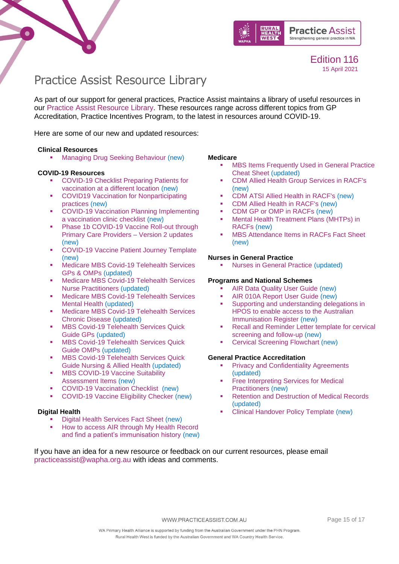



# <span id="page-14-0"></span>Practice Assist Resource Library

As part of our support for general practices, Practice Assist maintains a library of useful resources in our [Practice Assist Resource Library.](https://www.practiceassist.com.au/Resource-Library) These resources range across different topics from GP Accreditation, Practice Incentives Program, to the latest in resources around COVID-19.

Here are some of our new and updated resources:

#### **Clinical Resources**

**■** [Managing Drug Seeking Behaviour](https://www.practiceassist.com.au/PracticeAssist/media/ResourceLibrary/Clinical%20Resources/Managing-Drug-Seeking-Behaviour-Fact-Sheet-V2-201201.pdf) (new)

#### **COVID-19 Resources**

- COVID-19 Checklist Preparing Patients for [vaccination at a different location](https://www.practiceassist.com.au/PracticeAssist/media/ResourceLibrary/210326-WA-COVID-19-Checklist-Preparing-patients-for-vaccination-at-a-different-location.pdf) (new)
- COVID19 Vaccination for Nonparticipating [practices](https://www.practiceassist.com.au/PracticeAssist/media/ResourceLibrary/COVID19-Vaccination-for-Non-participating-practices-210325.pdf) (new)
- **COVID-19 Vaccination Planning Implementing** [a vaccination clinic checklist](https://www.practiceassist.com.au/PracticeAssist/media/Coronavirus-(COVID-19)/WA-COVID-19-Vaccination-Planning-Checklist-210323.pdf) (new)
- **Phase 1b COVID-19 Vaccine Roll-out through** [Primary Care Providers](https://www.practiceassist.com.au/PracticeAssist/media/Coronavirus-(COVID-19)/210319_Phase-1B-COVID-19-Vaccine-Roll-out-through-Primary-Care-Providers_V2-Updates-List-(002).pdf) – Version 2 updates (new)
- [COVID-19 Vaccine Patient Journey Template](https://www.practiceassist.com.au/PracticeAssist/media/ResourceLibrary/210325-COVID-19-Vaccine-Patient-Journey-Editable.pdf) (new)
- Medicare MBS Covid-19 Telehealth Services [GPs & OMPs](https://www.practiceassist.com.au/PracticeAssist/media/ResourceLibrary/210323-Medicare_MBS-COVID-19-Telehealth-Services-GPs-OMPs.pdf) (updated)
- Medicare MBS Covid-19 Telehealth Services [Nurse Practitioners](https://www.practiceassist.com.au/PracticeAssist/media/ResourceLibrary/210323-Medicare_MBS-COVID-19-Telehealth-Services-Nurse-Practitioners.pdf) (updated)
- Medicare MBS Covid-19 Telehealth Services [Mental Health](https://www.practiceassist.com.au/PracticeAssist/media/ResourceLibrary/210323-Medicare_MBS-COVID-19-Telehealth-Services-Mental-Health.pdf) (updated)
- **■** Medicare MBS Covid-19 Telehealth Services [Chronic Disease](https://www.practiceassist.com.au/PracticeAssist/media/ResourceLibrary/210323-Medicare_MBS-COVID-19-Telehealth-Services-Chronic-Disease.pdf) (updated)
- **MBS Covid-19 Telehealth Services Quick** [Guide GPs](https://www.practiceassist.com.au/PracticeAssist/media/ResourceLibrary/210323-Medicare_MBS-COVID-19-Telehealth-Services-Quick-Guide-GPs.pdf) (updated)
- **MBS Covid-19 Telehealth Services Quick** [Guide OMPs](https://www.practiceassist.com.au/PracticeAssist/media/ResourceLibrary/210323-Medicare_MBS-COVID-19-Telehealth-Services-Quick-Guide-OMPs.pdf) (updated)
- **MBS Covid-19 Telehealth Services Quick** [Guide Nursing & Allied Health](https://www.practiceassist.com.au/PracticeAssist/media/ResourceLibrary/210323-Medicare_MBS-COVID-19-Telehealth-Services-Quick-Guide-Nursing-Allied-Health.pdf) (updated)
- **MBS COVID-19 Vaccine Suitability** [Assessment Items](https://www.practiceassist.com.au/PracticeAssist/media/ResourceLibrary/MBS-COVID-19-Vaccine-suitability-Assessment-Service-Factsheet-210316.pdf) (new)
- [COVID-19 Vaccination Checklist](https://www.practiceassist.com.au/PracticeAssist/media/ResourceLibrary/WA-COVID-19-Vaccination-Checklist-210302.pdf) (new)
- [COVID-19 Vaccine Eligibility Checker](https://covid-vaccine.healthdirect.gov.au/eligibility) (new)

#### **Digital Health**

- **[Digital Health Services Fact Sheet](https://www.practiceassist.com.au/PracticeAssist/media/ResourceLibrary/Digital%20Health/Digital-Health-Services-Fact-Sheet-V1-210218.pdf) (new)**
- How to access AIR through My Health Record [and find a patient's immunisation history](https://www.practiceassist.com.au/PracticeAssist/media/ResourceLibrary/Digital%20Health/Accessing-AIR-through-MHR-Fact-Sheet-V2-210413.pdf) (new)

#### **Medicare**

- **MBS Items Frequently Used in General Practice** [Cheat Sheet](https://www.practiceassist.com.au/PracticeAssist/media/ResourceLibrary/Medicare%20Benefits%20Schedule/MBS-Items-Frequently-Used-in-General-Practice-Cheat-Sheet-V5-210114_1.pdf) (updated)
- [CDM Allied Health Group Services in RACF's](https://www.practiceassist.com.au/PracticeAssist/media/ResourceLibrary/Medicare%20Benefits%20Schedule/CDM-Allied-Health-Group-Services-in-RACFs-Fact-Sheet-V1-201222.pdf) (new)
- [CDM ATSI Allied Health in RACF's](https://www.practiceassist.com.au/PracticeAssist/media/ResourceLibrary/Medicare%20Benefits%20Schedule/CDM-ATSI-Allied-Health-in-RACFs-Fact-Sheet-V1-201222.pdf) (new)
- [CDM Allied Health in RACF's](https://www.practiceassist.com.au/PracticeAssist/media/ResourceLibrary/Medicare%20Benefits%20Schedule/CDM-Allied-Health-in-RACFs-Fact-Sheet-V1-201222.pdf) (new)
- [CDM GP or OMP in RACFs](https://www.practiceassist.com.au/PracticeAssist/media/ResourceLibrary/Medicare%20Benefits%20Schedule/CDM-GP-or-OMP-in-RACFs-Fact-Sheet-V1-201222.pdf) (new)<br>■ Mental Health Treatment Plans (M)
- Mental Health Treatment Plans (MHTPs) in [RACFs](https://www.practiceassist.com.au/PracticeAssist/media/ResourceLibrary/Medicare%20Benefits%20Schedule/MHTPs-in-RACFs-Fact-Sheet-V1-201222_1.pdf) (new)
- [MBS Attendance Items in RACFs Fact Sheet](https://www.practiceassist.com.au/PracticeAssist/media/ResourceLibrary/Medicare%20Benefits%20Schedule/MBS-Attendance-Items-in-RACFs-Fact-Sheet-210114.pdf) (new)

#### **Nurses in General Practice**

**[Nurses in General Practice](https://www.practiceassist.com.au/PracticeAssist/media/ResourceLibrary/Nurses%20in%20general%20practice/Employing-a-Nurse-in-a-General-Practice-Fact-Sheet-V3-201201.pdf) (updated)** 

#### **Programs and National Schemes**

- **[AIR Data Quality User Guide](https://www.practiceassist.com.au/PracticeAssist/media/ResourceLibrary/Programs%20and%20National%20Schemes/AIR-Data-Quality-User-Guide-V1-0-Nov-20.pdf) (new)**
- [AIR 010A Report User Guide](https://www.practiceassist.com.au/PracticeAssist/media/ResourceLibrary/Programs%20and%20National%20Schemes/AIR-010A-Report-User-Guide-Nov-2020-V1-0.pdf) (new)
- **•** Supporting and understanding delegations in [HPOS to enable access to the Australian](https://www.practiceassist.com.au/PracticeAssist/media/ResourceLibrary/Programs%20and%20National%20Schemes/HPOS-Supporting-providers_December-2020_Final_0.pdf)  [Immunisation Register](https://www.practiceassist.com.au/PracticeAssist/media/ResourceLibrary/Programs%20and%20National%20Schemes/HPOS-Supporting-providers_December-2020_Final_0.pdf) (new)
- **Recall and Reminder Letter template for cervical** screening [and follow-up](https://www.practiceassist.com.au/PracticeAssist/media/ResourceLibrary/Programs%20and%20National%20Schemes/200206-Recall-and-reminder-letter-templates-for-cervical-screening-and-follow-up-(January-2020).pdf) (new)
- **[Cervical Screening Flowchart](https://www.practiceassist.com.au/PracticeAssist/media/ResourceLibrary/Programs%20and%20National%20Schemes/201201-Cervical-Screening-Pathway.pdf) (new)**

#### **General Practice Accreditation**

- **[Privacy and Confidentiality Agreements](https://www.practiceassist.com.au/PracticeAssist/media/ResourceLibrary/General%20Practice%20Accreditation/Privacy-and-Confidentiality-Agreements-Fact-Sheet-V2-201109.pdf)** (updated)
- **Free Interpreting Services for Medical** [Practitioners](https://www.practiceassist.com.au/PracticeAssist/media/ResourceLibrary/General%20Practice%20Accreditation/Free-Interpreting-Services-for-Medical-Practitioners-Fact-Sheet-V1-201118.pdf) (new)
- **[Retention and Destruction of Medical Records](https://www.practiceassist.com.au/PracticeAssist/media/ResourceLibrary/General%20Practice%20Accreditation/Retention-and-Destruction-of-Medical-Records-Fact-Sheet-V2-201104.pdf)** (updated)
- **[Clinical Handover Policy Template](https://www.practiceassist.com.au/PracticeAssist/media/ResourceLibrary/General%20Practice%20Accreditation/Clinical-Handover-Policy-Template-V1-201118-Editable.pdf) (new)**

If you have an idea for a new resource or feedback on our current resources, please email [practiceassist@wapha.org.au](mailto:practiceassist@wapha.org.au) with ideas and comments.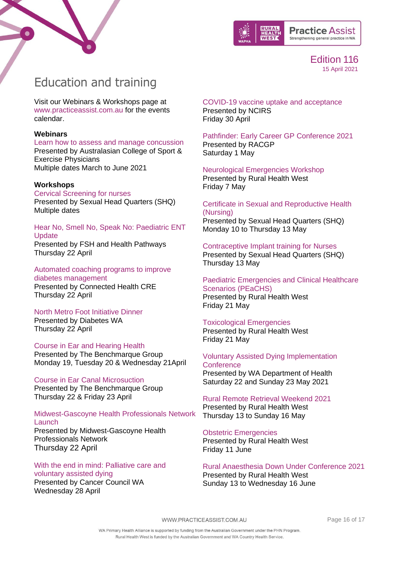



# <span id="page-15-0"></span>Education and training

Visit our Webinars & Workshops page at [www.practiceassist.com.au](http://www.practiceassist.com.au/) for the events calendar.

#### **Webinars**

[Learn how to assess and manage concussion](https://us02web.zoom.us/webinar/register/WN_aDa3V9ylRUGoWF3IErc-CQ) [Presented by Australasian College of Sport &](https://us02web.zoom.us/webinar/register/WN_aDa3V9ylRUGoWF3IErc-CQ)  [Exercise Physicians](https://us02web.zoom.us/webinar/register/WN_aDa3V9ylRUGoWF3IErc-CQ) [Multiple dates March to June 2021](https://us02web.zoom.us/webinar/register/WN_aDa3V9ylRUGoWF3IErc-CQ)

### **Workshops**

[Cervical Screening for nurses](https://shq.org.au/course/certificate-nursing-cervical-screening-only/) Presented by Sexual Head Quarters (SHQ) Multiple dates

[Hear No, Smell No, Speak No: Paediatric ENT](https://www.practiceassist.com.au/PracticeAssist/media/Practice-Connect/ENT-Flyer_210407.pdf)  **[Update](https://www.practiceassist.com.au/PracticeAssist/media/Practice-Connect/ENT-Flyer_210407.pdf)** 

[Presented by FSH and Health Pathways](https://www.practiceassist.com.au/PracticeAssist/media/Practice-Connect/ENT-Flyer_210407.pdf) [Thursday 22 April](https://www.practiceassist.com.au/PracticeAssist/media/Practice-Connect/ENT-Flyer_210407.pdf)

[Automated coaching programs to improve](https://connectedhealth-cre.org/event/automated-coaching-programs-to-improve-diabetes-management/)  [diabetes management](https://connectedhealth-cre.org/event/automated-coaching-programs-to-improve-diabetes-management/) [Presented by Connected Health CRE](https://connectedhealth-cre.org/event/automated-coaching-programs-to-improve-diabetes-management/) [Thursday 22 April](https://connectedhealth-cre.org/event/automated-coaching-programs-to-improve-diabetes-management/)

### [North Metro Foot Initiative Dinner](mailto:shona.vigus@diabeteswa.com.au)

[Presented by Diabetes WA](mailto:shona.vigus@diabeteswa.com.au) [Thursday 22 April](mailto:shona.vigus@diabeteswa.com.au)

### [Course in Ear and Hearing Health](https://www.benchmarquegroup.com.au/courses/ear-and-hearing-health)

[Presented by The Benchmarque Group](https://www.benchmarquegroup.com.au/courses/ear-and-hearing-health) [Monday 19, Tuesday 20 & Wednesday 21April](https://www.benchmarquegroup.com.au/courses/ear-and-hearing-health)

### [Course in Ear Canal Microsuction](https://www.benchmarquegroup.com.au/courses/ear-canal-micro-suction)

[Presented by The Benchmarque Group](https://www.benchmarquegroup.com.au/courses/ear-canal-micro-suction) [Thursday 22 & Friday 23 April](https://www.benchmarquegroup.com.au/courses/ear-canal-micro-suction)

[Midwest-Gascoyne Health Professionals Network](https://www.eventbrite.com.au/e/voluntary-assisted-dying-implementation-conference-tickets-145167577131?aff=odeimcmailchimp&mc_cid=0f78baf5fb&mc_eid=3dc506253a)  **[Launch](https://www.eventbrite.com.au/e/voluntary-assisted-dying-implementation-conference-tickets-145167577131?aff=odeimcmailchimp&mc_cid=0f78baf5fb&mc_eid=3dc506253a)** 

[Presented by Midwest-Gascoyne Health](https://www.eventbrite.com.au/e/voluntary-assisted-dying-implementation-conference-tickets-145167577131?aff=odeimcmailchimp&mc_cid=0f78baf5fb&mc_eid=3dc506253a)  [Professionals Network](https://www.eventbrite.com.au/e/voluntary-assisted-dying-implementation-conference-tickets-145167577131?aff=odeimcmailchimp&mc_cid=0f78baf5fb&mc_eid=3dc506253a) [Thursday 22 April](https://www.eventbrite.com.au/e/voluntary-assisted-dying-implementation-conference-tickets-145167577131?aff=odeimcmailchimp&mc_cid=0f78baf5fb&mc_eid=3dc506253a)

[With the end in mind: Palliative care and](https://www.eventbrite.com.au/e/with-the-end-in-mind-palliative-care-and-voluntary-assisted-dying-7875-tickets-145396652301)  [voluntary assisted dying](https://www.eventbrite.com.au/e/with-the-end-in-mind-palliative-care-and-voluntary-assisted-dying-7875-tickets-145396652301) [Presented by Cancer Council WA](https://www.eventbrite.com.au/e/with-the-end-in-mind-palliative-care-and-voluntary-assisted-dying-7875-tickets-145396652301)

[Wednesday 28 April](https://www.eventbrite.com.au/e/with-the-end-in-mind-palliative-care-and-voluntary-assisted-dying-7875-tickets-145396652301)

#### [COVID-19 vaccine uptake and acceptance](https://us02web.zoom.us/webinar/register/WN_dAxq0oHjQImamxq_f1zs5g) [Presented by NCIRS](https://us02web.zoom.us/webinar/register/WN_dAxq0oHjQImamxq_f1zs5g) [Friday 30 April](https://us02web.zoom.us/webinar/register/WN_dAxq0oHjQImamxq_f1zs5g)

[Pathfinder: Early Career GP Conference 2021](https://racgp.au1.qualtrics.com/jfe/form/SV_6KEemh74qpzMsmO) [Presented by RACGP](https://racgp.au1.qualtrics.com/jfe/form/SV_6KEemh74qpzMsmO) [Saturday 1 May](https://racgp.au1.qualtrics.com/jfe/form/SV_6KEemh74qpzMsmO)

### [Neurological Emergencies Workshop](https://www.ruralhealthwest.com.au/general-practice/professional-development/conferences-events/2021/05/07/default-calendar/neurological-emergencies-(neuro)---bunbury)

[Presented by Rural Health](https://www.ruralhealthwest.com.au/general-practice/professional-development/conferences-events/2021/05/07/default-calendar/neurological-emergencies-(neuro)---bunbury) West [Friday 7 May](https://www.ruralhealthwest.com.au/general-practice/professional-development/conferences-events/2021/05/07/default-calendar/neurological-emergencies-(neuro)---bunbury)

#### [Certificate in Sexual and Reproductive Health](https://shq.org.au/course/certificate-nursing/)  [\(Nursing\)](https://shq.org.au/course/certificate-nursing/) Presented by Sexual Head Quarters (SHQ) Monday 10 to Thursday 13 May

[Contraceptive Implant training for Nurses](https://shq.org.au/education/courses/) Presented by Sexual Head Quarters (SHQ) Thursday 13 May

#### [Paediatric Emergencies and Clinical Healthcare](https://www.ruralhealthwest.com.au/general-practice/professional-development/conferences-events/2021/05/21/default-calendar/paediatric-emergencies-and-clinical-healthcare-scenarios-(peachs)---broome)  [Scenarios \(PEaCHS\)](https://www.ruralhealthwest.com.au/general-practice/professional-development/conferences-events/2021/05/21/default-calendar/paediatric-emergencies-and-clinical-healthcare-scenarios-(peachs)---broome)  [Presented by Rural Health West](https://www.ruralhealthwest.com.au/general-practice/professional-development/conferences-events/2021/05/21/default-calendar/paediatric-emergencies-and-clinical-healthcare-scenarios-(peachs)---broome) [Friday 21 May](https://www.ruralhealthwest.com.au/general-practice/professional-development/conferences-events/2021/05/21/default-calendar/paediatric-emergencies-and-clinical-healthcare-scenarios-(peachs)---broome)

[Toxicological Emergencies](https://www.ruralhealthwest.com.au/general-practice/professional-development/conferences-events/2021/05/21/default-calendar/toxicological-emergencies-(tox)---albany) 

[Presented by Rural Health West](https://www.ruralhealthwest.com.au/general-practice/professional-development/conferences-events/2021/05/21/default-calendar/toxicological-emergencies-(tox)---albany) [Friday 21 May](https://www.ruralhealthwest.com.au/general-practice/professional-development/conferences-events/2021/05/21/default-calendar/toxicological-emergencies-(tox)---albany)

### [Voluntary Assisted Dying Implementation](https://www.eventbrite.com.au/e/voluntary-assisted-dying-implementation-conference-tickets-145167577131?aff=odeimcmailchimp&mc_cid=0f78baf5fb&mc_eid=3dc506253a)  **[Conference](https://www.eventbrite.com.au/e/voluntary-assisted-dying-implementation-conference-tickets-145167577131?aff=odeimcmailchimp&mc_cid=0f78baf5fb&mc_eid=3dc506253a)**

[Presented by WA Department of Health](https://www.eventbrite.com.au/e/voluntary-assisted-dying-implementation-conference-tickets-145167577131?aff=odeimcmailchimp&mc_cid=0f78baf5fb&mc_eid=3dc506253a) [Saturday 22 and Sunday 23 May 2021](https://www.eventbrite.com.au/e/voluntary-assisted-dying-implementation-conference-tickets-145167577131?aff=odeimcmailchimp&mc_cid=0f78baf5fb&mc_eid=3dc506253a)

#### [Rural Remote Retrieval Weekend 2021](https://www.ruralhealthwest.com.au/general-practice/professional-development/conference/2021/05/13/default-calendar/rural-and-remote-retrieval-weekend-2021) [Presented by Rural Health West](https://www.ruralhealthwest.com.au/general-practice/professional-development/conference/2021/05/13/default-calendar/rural-and-remote-retrieval-weekend-2021) [Thursday 13 to Sunday 16 May](https://www.ruralhealthwest.com.au/general-practice/professional-development/conference/2021/05/13/default-calendar/rural-and-remote-retrieval-weekend-2021)

[Obstetric Emergencies](https://www.ruralhealthwest.com.au/general-practice/professional-development/conferences-events/2021/06/11/default-calendar/obstetric-emergencies-(obs)---kalgoorlie) [Presented by Rural Health West](https://www.ruralhealthwest.com.au/general-practice/professional-development/conferences-events/2021/06/11/default-calendar/obstetric-emergencies-(obs)---kalgoorlie) Friday [11 June](https://www.ruralhealthwest.com.au/general-practice/professional-development/conferences-events/2021/06/11/default-calendar/obstetric-emergencies-(obs)---kalgoorlie)

[Rural Anaesthesia Down Under Conference 2021](https://www.ruralhealthwest.com.au/general-practice/professional-development/conference/2021/06/13/default-calendar/rural-anaesthesia-down-under-conference-2021) [Presented by Rural Health West](https://www.ruralhealthwest.com.au/general-practice/professional-development/conference/2021/06/13/default-calendar/rural-anaesthesia-down-under-conference-2021) [Sunday 13 to Wednesday 16 June](https://www.ruralhealthwest.com.au/general-practice/professional-development/conference/2021/06/13/default-calendar/rural-anaesthesia-down-under-conference-2021)